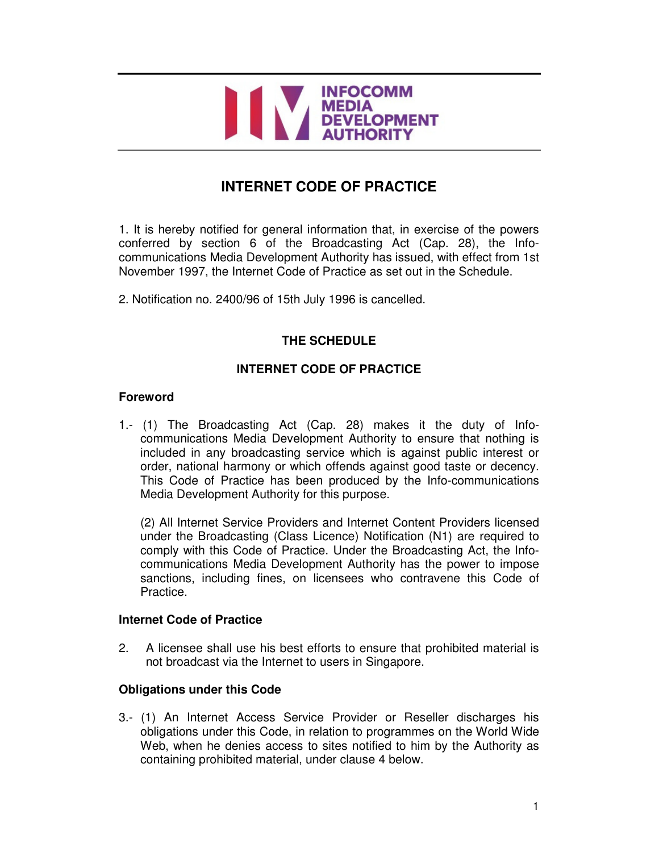

# **INTERNET CODE OF PRACTICE**

1. It is hereby notified for general information that, in exercise of the powers conferred by section 6 of the Broadcasting Act (Cap. 28), the Infocommunications Media Development Authority has issued, with effect from 1st November 1997, the Internet Code of Practice as set out in the Schedule.

2. Notification no. 2400/96 of 15th July 1996 is cancelled.

## **THE SCHEDULE**

## **INTERNET CODE OF PRACTICE**

#### **Foreword**

1.- (1) The Broadcasting Act (Cap. 28) makes it the duty of Infocommunications Media Development Authority to ensure that nothing is included in any broadcasting service which is against public interest or order, national harmony or which offends against good taste or decency. This Code of Practice has been produced by the Info-communications Media Development Authority for this purpose.

(2) All Internet Service Providers and Internet Content Providers licensed under the Broadcasting (Class Licence) Notification (N1) are required to comply with this Code of Practice. Under the Broadcasting Act, the Infocommunications Media Development Authority has the power to impose sanctions, including fines, on licensees who contravene this Code of Practice.

### **Internet Code of Practice**

2. A licensee shall use his best efforts to ensure that prohibited material is not broadcast via the Internet to users in Singapore.

### **Obligations under this Code**

3.- (1) An Internet Access Service Provider or Reseller discharges his obligations under this Code, in relation to programmes on the World Wide Web, when he denies access to sites notified to him by the Authority as containing prohibited material, under clause 4 below.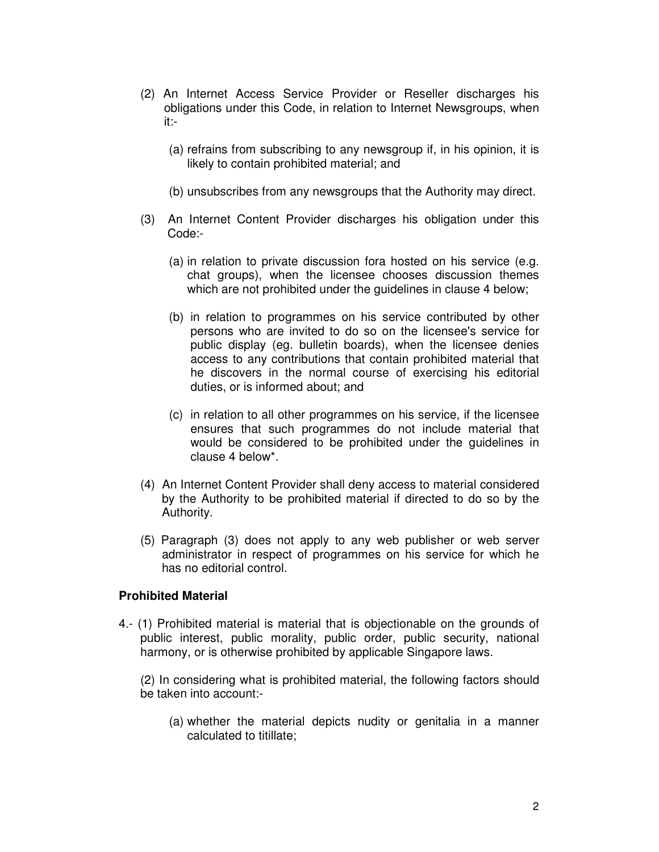- (2) An Internet Access Service Provider or Reseller discharges his obligations under this Code, in relation to Internet Newsgroups, when it:-
	- (a) refrains from subscribing to any newsgroup if, in his opinion, it is likely to contain prohibited material; and
	- (b) unsubscribes from any newsgroups that the Authority may direct.
- (3) An Internet Content Provider discharges his obligation under this Code:-
	- (a) in relation to private discussion fora hosted on his service (e.g. chat groups), when the licensee chooses discussion themes which are not prohibited under the guidelines in clause 4 below;
	- (b) in relation to programmes on his service contributed by other persons who are invited to do so on the licensee's service for public display (eg. bulletin boards), when the licensee denies access to any contributions that contain prohibited material that he discovers in the normal course of exercising his editorial duties, or is informed about; and
	- (c) in relation to all other programmes on his service, if the licensee ensures that such programmes do not include material that would be considered to be prohibited under the guidelines in clause 4 below\*.
- (4) An Internet Content Provider shall deny access to material considered by the Authority to be prohibited material if directed to do so by the Authority.
- (5) Paragraph (3) does not apply to any web publisher or web server administrator in respect of programmes on his service for which he has no editorial control.

#### **Prohibited Material**

4.- (1) Prohibited material is material that is objectionable on the grounds of public interest, public morality, public order, public security, national harmony, or is otherwise prohibited by applicable Singapore laws.

(2) In considering what is prohibited material, the following factors should be taken into account:-

(a) whether the material depicts nudity or genitalia in a manner calculated to titillate;